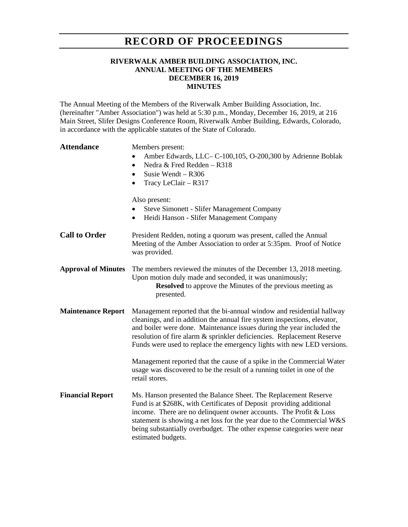## **RECORD OF PROCEEDINGS**

## **RIVERWALK AMBER BUILDING ASSOCIATION, INC. ANNUAL MEETING OF THE MEMBERS DECEMBER 16, 2019 MINUTES**

The Annual Meeting of the Members of the Riverwalk Amber Building Association, Inc. (hereinafter "Amber Association") was held at 5:30 p.m., Monday, December 16, 2019, at 216 Main Street, Slifer Designs Conference Room, Riverwalk Amber Building, Edwards, Colorado, in accordance with the applicable statutes of the State of Colorado.

| <b>Attendance</b>          | Members present:<br>Amber Edwards, LLC– C-100, 105, O-200, 300 by Adrienne Boblak<br>Nedra & Fred Redden - R318<br>$\bullet$<br>Susie Wendt - R306<br>$\bullet$<br>Tracy LeClair - R317<br>$\bullet$                                                                                                                                                                                   |
|----------------------------|----------------------------------------------------------------------------------------------------------------------------------------------------------------------------------------------------------------------------------------------------------------------------------------------------------------------------------------------------------------------------------------|
|                            | Also present:<br><b>Steve Simonett - Slifer Management Company</b><br>Heidi Hanson - Slifer Management Company<br>$\bullet$                                                                                                                                                                                                                                                            |
| <b>Call to Order</b>       | President Redden, noting a quorum was present, called the Annual<br>Meeting of the Amber Association to order at 5:35pm. Proof of Notice<br>was provided.                                                                                                                                                                                                                              |
| <b>Approval of Minutes</b> | The members reviewed the minutes of the December 13, 2018 meeting.<br>Upon motion duly made and seconded, it was unanimously;<br><b>Resolved</b> to approve the Minutes of the previous meeting as<br>presented.                                                                                                                                                                       |
| <b>Maintenance Report</b>  | Management reported that the bi-annual window and residential hallway<br>cleanings, and in addition the annual fire system inspections, elevator,<br>and boiler were done. Maintenance issues during the year included the<br>resolution of fire alarm & sprinkler deficiencies. Replacement Reserve<br>Funds were used to replace the emergency lights with new LED versions.         |
|                            | Management reported that the cause of a spike in the Commercial Water<br>usage was discovered to be the result of a running toilet in one of the<br>retail stores.                                                                                                                                                                                                                     |
| <b>Financial Report</b>    | Ms. Hanson presented the Balance Sheet. The Replacement Reserve<br>Fund is at \$268K, with Certificates of Deposit providing additional<br>income. There are no delinquent owner accounts. The Profit & Loss<br>statement is showing a net loss for the year due to the Commercial W&S<br>being substantially overbudget. The other expense categories were near<br>estimated budgets. |